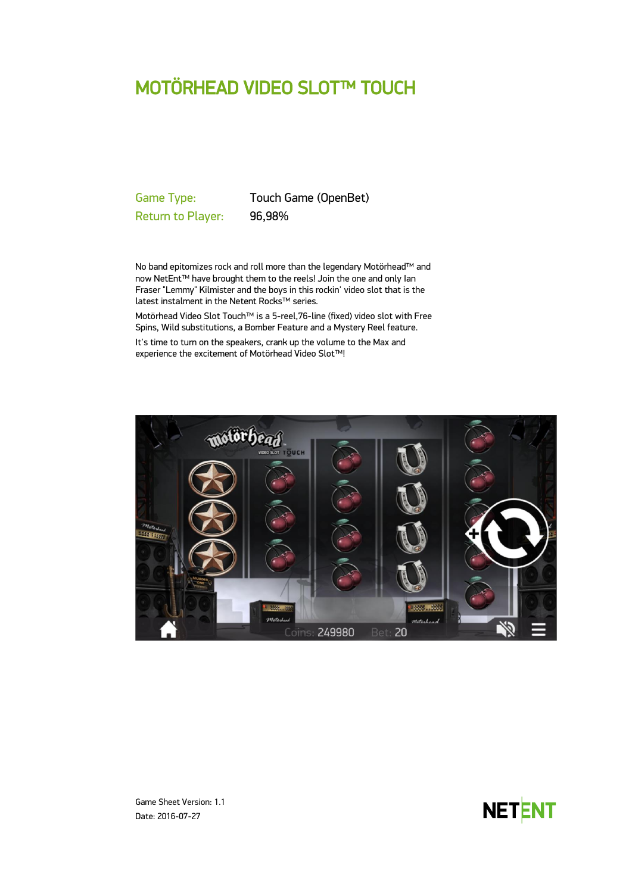# MOTÖRHEAD VIDEO SLOT™ TOUCH

Return to Player: 96,98%

Game Type: Touch Game (OpenBet)

No band epitomizes rock and roll more than the legendary Motörhead™ and now NetEnt™ have brought them to the reels! Join the one and only Ian Fraser "Lemmy" Kilmister and the boys in this rockin' video slot that is the latest instalment in the Netent Rocks™ series.

Motörhead Video Slot Touch™ is a 5-reel,76-line (fixed) video slot with Free Spins, Wild substitutions, a Bomber Feature and a Mystery Reel feature.

It's time to turn on the speakers, crank up the volume to the Max and experience the excitement of Motörhead Video Slot™!





Game Sheet Version: 1.1 Date: 2016-07-27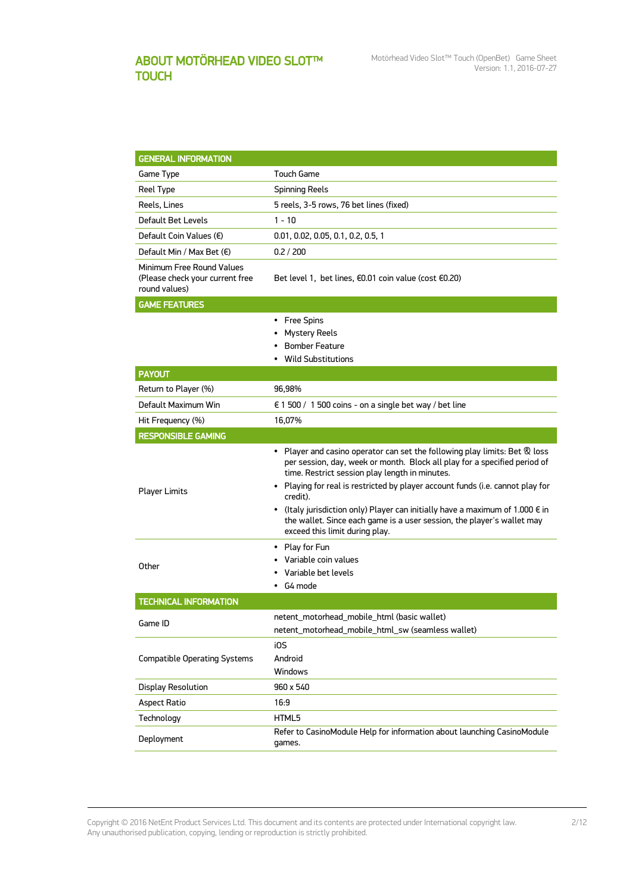# ABOUT MOTÖRHEAD VIDEO SLOT™ **TOUCH**

| <b>GENERAL INFORMATION</b>                                                    |                                                                                                                                                                                                                                                                                                                                                                                                                                                                                                                          |  |  |  |
|-------------------------------------------------------------------------------|--------------------------------------------------------------------------------------------------------------------------------------------------------------------------------------------------------------------------------------------------------------------------------------------------------------------------------------------------------------------------------------------------------------------------------------------------------------------------------------------------------------------------|--|--|--|
| Game Type                                                                     | Touch Game                                                                                                                                                                                                                                                                                                                                                                                                                                                                                                               |  |  |  |
| Reel Type                                                                     | <b>Spinning Reels</b>                                                                                                                                                                                                                                                                                                                                                                                                                                                                                                    |  |  |  |
| Reels, Lines                                                                  | 5 reels, 3-5 rows, 76 bet lines (fixed)                                                                                                                                                                                                                                                                                                                                                                                                                                                                                  |  |  |  |
| Default Bet Levels                                                            | 1 - 10                                                                                                                                                                                                                                                                                                                                                                                                                                                                                                                   |  |  |  |
| Default Coin Values $(\epsilon)$                                              | 0.01, 0.02, 0.05, 0.1, 0.2, 0.5, 1                                                                                                                                                                                                                                                                                                                                                                                                                                                                                       |  |  |  |
| Default Min / Max Bet $(\epsilon)$                                            | 0.2 / 200                                                                                                                                                                                                                                                                                                                                                                                                                                                                                                                |  |  |  |
| Minimum Free Round Values<br>(Please check your current free<br>round values) | Bet level 1, bet lines, €0.01 coin value (cost €0.20)                                                                                                                                                                                                                                                                                                                                                                                                                                                                    |  |  |  |
| <b>GAME FEATURES</b>                                                          |                                                                                                                                                                                                                                                                                                                                                                                                                                                                                                                          |  |  |  |
|                                                                               | • Free Spins<br>Mystery Reels<br><b>Bomber Feature</b><br><b>Wild Substitutions</b>                                                                                                                                                                                                                                                                                                                                                                                                                                      |  |  |  |
| <b>PAYOUT</b>                                                                 |                                                                                                                                                                                                                                                                                                                                                                                                                                                                                                                          |  |  |  |
| Return to Player (%)                                                          | 96,98%                                                                                                                                                                                                                                                                                                                                                                                                                                                                                                                   |  |  |  |
| Default Maximum Win                                                           | € 1 500 / 1 500 coins - on a single bet way / bet line                                                                                                                                                                                                                                                                                                                                                                                                                                                                   |  |  |  |
| Hit Frequency (%)                                                             | 16,07%                                                                                                                                                                                                                                                                                                                                                                                                                                                                                                                   |  |  |  |
| <b>RESPONSIBLE GAMING</b>                                                     |                                                                                                                                                                                                                                                                                                                                                                                                                                                                                                                          |  |  |  |
| <b>Player Limits</b>                                                          | • Player and casino operator can set the following play limits: Bet $\mathcal R$ loss<br>per session, day, week or month. Block all play for a specified period of<br>time. Restrict session play length in minutes.<br>• Playing for real is restricted by player account funds (i.e. cannot play for<br>credit).<br>• (Italy jurisdiction only) Player can initially have a maximum of 1.000 $\epsilon$ in<br>the wallet. Since each game is a user session, the player's wallet may<br>exceed this limit during play. |  |  |  |
| Other                                                                         | • Play for Fun<br>• Variable coin values<br>Variable bet levels<br>G4 mode<br>٠                                                                                                                                                                                                                                                                                                                                                                                                                                          |  |  |  |
| <b>TECHNICAL INFORMATION</b>                                                  |                                                                                                                                                                                                                                                                                                                                                                                                                                                                                                                          |  |  |  |
| Game ID                                                                       | netent_motorhead_mobile_html (basic wallet)<br>netent_motorhead_mobile_html_sw (seamless wallet)                                                                                                                                                                                                                                                                                                                                                                                                                         |  |  |  |
| <b>Compatible Operating Systems</b>                                           | i0S<br>Android<br>Windows                                                                                                                                                                                                                                                                                                                                                                                                                                                                                                |  |  |  |
| <b>Display Resolution</b>                                                     | 960 x 540                                                                                                                                                                                                                                                                                                                                                                                                                                                                                                                |  |  |  |
| <b>Aspect Ratio</b>                                                           | 16:9                                                                                                                                                                                                                                                                                                                                                                                                                                                                                                                     |  |  |  |
| Technology                                                                    | HTML5                                                                                                                                                                                                                                                                                                                                                                                                                                                                                                                    |  |  |  |
| Deployment                                                                    | Refer to CasinoModule Help for information about launching CasinoModule<br>games.                                                                                                                                                                                                                                                                                                                                                                                                                                        |  |  |  |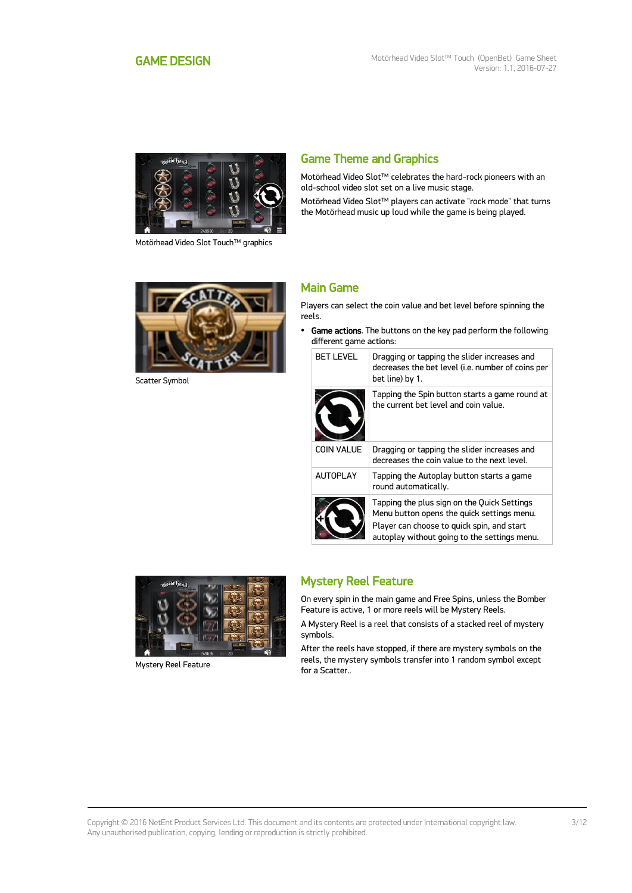<span id="page-2-0"></span>

Motörhead Video Slot Touch™ graphics

# Game Theme and Graphics

Motörhead Video Slot™ celebrates the hard-rock pioneers with an old-school video slot set on a live music stage.

Motörhead Video Slot™ players can activate "rock mode" that turns the Motörhead music up loud while the game is being played.



Scatter Symbol

### Main Game

Players can select the coin value and bet level before spinning the reels.

• Game actions. The buttons on the key pad perform the following different game actions:

| <b>BET LEVEL</b>  | Dragging or tapping the slider increases and<br>decreases the bet level (i.e. number of coins per<br>bet line) by 1.                                                                    |
|-------------------|-----------------------------------------------------------------------------------------------------------------------------------------------------------------------------------------|
|                   | Tapping the Spin button starts a game round at<br>the current bet level and coin value.                                                                                                 |
| <b>COIN VALUE</b> | Dragging or tapping the slider increases and<br>decreases the coin value to the next level.                                                                                             |
| <b>AUTOPLAY</b>   | Tapping the Autoplay button starts a game<br>round automatically.                                                                                                                       |
|                   | Tapping the plus sign on the Quick Settings<br>Menu button opens the quick settings menu.<br>Player can choose to quick spin, and start<br>autoplay without going to the settings menu. |



Mystery Reel Feature

# Mystery Reel Feature

On every spin in the main game and Free Spins, unless the Bomber Feature is active, 1 or more reels will be Mystery Reels.

A Mystery Reel is a reel that consists of a stacked reel of mystery symbols.

After the reels have stopped, if there are mystery symbols on the reels, the mystery symbols transfer into 1 random symbol except for a Scatter..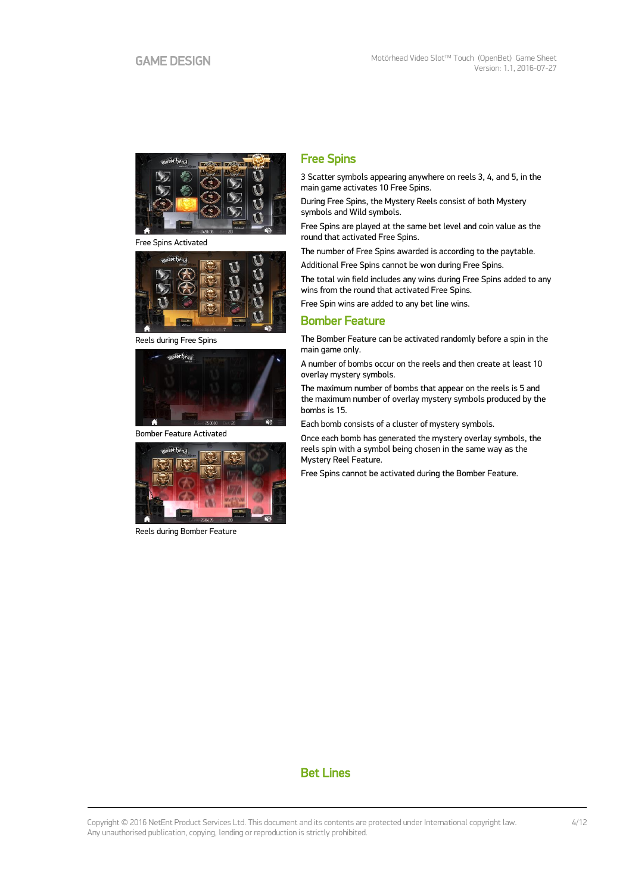

Free Spins Activated



Reels during Free Spins



Bomber Feature Activated



Reels during Bomber Feature

## Free Spins

3 Scatter symbols appearing anywhere on reels 3, 4, and 5, in the main game activates 10 Free Spins.

During Free Spins, the Mystery Reels consist of both Mystery symbols and Wild symbols.

Free Spins are played at the same bet level and coin value as the round that activated Free Spins.

The number of Free Spins awarded is according to the paytable.

Additional Free Spins cannot be won during Free Spins.

The total win field includes any wins during Free Spins added to any wins from the round that activated Free Spins.

Free Spin wins are added to any bet line wins.

### Bomber Feature

The Bomber Feature can be activated randomly before a spin in the main game only.

A number of bombs occur on the reels and then create at least 10 overlay mystery symbols.

The maximum number of bombs that appear on the reels is 5 and the maximum number of overlay mystery symbols produced by the bombs is 15.

Each bomb consists of a cluster of mystery symbols.

Once each bomb has generated the mystery overlay symbols, the reels spin with a symbol being chosen in the same way as the Mystery Reel Feature.

Free Spins cannot be activated during the Bomber Feature.

# Bet Lines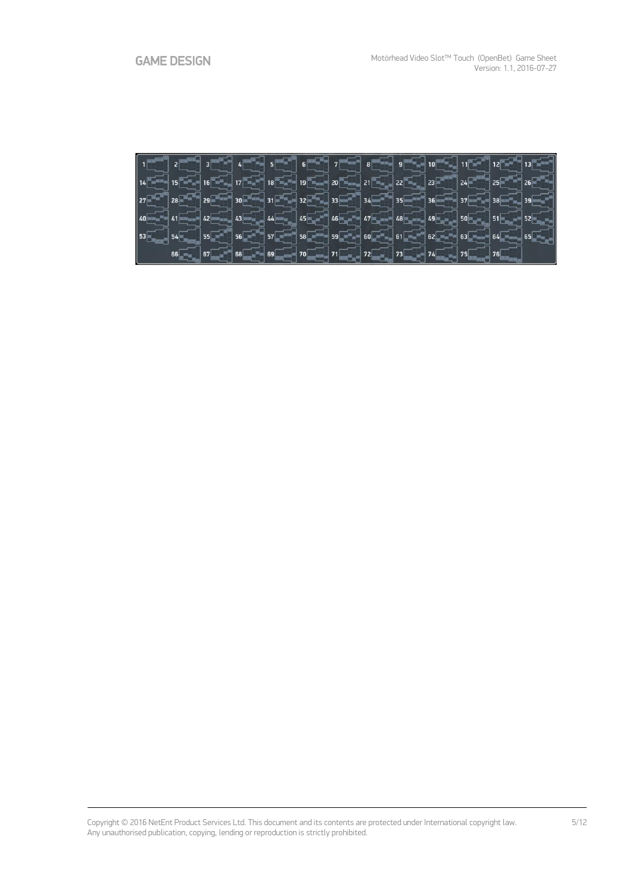|  |  |  |                                                                  |  |  | $40$ $40$ $41$ $42$ $42$ $43$ $44$ $46$ $46$ $46$ $47$ $48$ $48$ $49$ $40$ $49$ $50$ $50$ $51$ $51$ $52$                                                                                                                                                                                                                                                       |
|--|--|--|------------------------------------------------------------------|--|--|----------------------------------------------------------------------------------------------------------------------------------------------------------------------------------------------------------------------------------------------------------------------------------------------------------------------------------------------------------------|
|  |  |  |                                                                  |  |  | $\boxed{53\text{--}36\text{--}36\text{--}35\text{--}35\text{--}35\text{--}35\text{--}35\text{--}35\text{--}35\text{--}35\text{--}35\text{--}35\text{--}35\text{--}35\text{--}35\text{--}35\text{--}35\text{--}35\text{--}35\text{--}35\text{--}35\text{--}35\text{--}35\text{--}35\text{--}35\text{--}35\text{--}35\text{--}35\text{--}35\text{--}35\text{--}$ |
|  |  |  | $66$ $76$ $75$ $68$ $69$ $70$ $71$ $72$ $73$ $74$ $74$ $75$ $75$ |  |  |                                                                                                                                                                                                                                                                                                                                                                |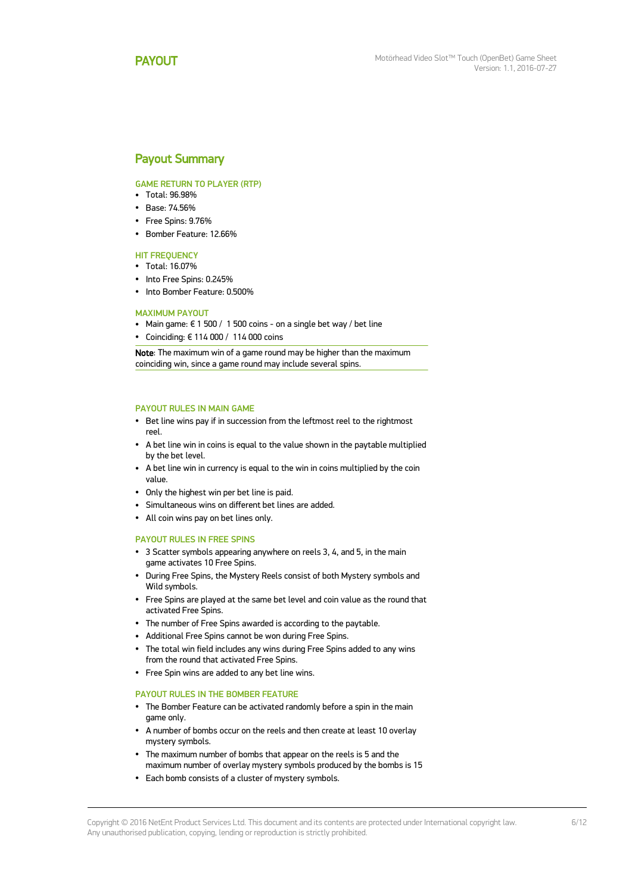### <span id="page-5-0"></span>Payout Summary

#### GAME RETURN TO PLAYER (RTP)

- Total: 96.98%
- Base: 74.56%
- Free Spins: 9.76%
- Bomber Feature: 12.66%

#### **HIT FREQUENCY**

- Total: 16.07%
- Into Free Spins: 0.245%
- Into Bomber Feature: 0.500%

#### MAXIMUM PAYOUT

- Main game:  $\epsilon$  1 500 / 1 500 coins on a single bet way / bet line
- Coinciding: € 114 000 / 114 000 coins

Note: The maximum win of a game round may be higher than the maximum coinciding win, since a game round may include several spins.

#### PAYOUT RULES IN MAIN GAME

- Bet line wins pay if in succession from the leftmost reel to the rightmost reel.
- A bet line win in coins is equal to the value shown in the paytable multiplied by the bet level.
- A bet line win in currency is equal to the win in coins multiplied by the coin value.
- Only the highest win per bet line is paid.
- Simultaneous wins on different bet lines are added.
- All coin wins pay on bet lines only.

#### PAYOUT RULES IN FREE SPINS

- 3 Scatter symbols appearing anywhere on reels 3, 4, and 5, in the main game activates 10 Free Spins.
- During Free Spins, the Mystery Reels consist of both Mystery symbols and Wild symbols.
- Free Spins are played at the same bet level and coin value as the round that activated Free Spins.
- The number of Free Spins awarded is according to the paytable.
- Additional Free Spins cannot be won during Free Spins.
- The total win field includes any wins during Free Spins added to any wins from the round that activated Free Spins.
- Free Spin wins are added to any bet line wins.

#### PAYOUT RULES IN THE BOMBER FEATURE

- The Bomber Feature can be activated randomly before a spin in the main game only.
- A number of bombs occur on the reels and then create at least 10 overlay mystery symbols.
- The maximum number of bombs that appear on the reels is 5 and the maximum number of overlay mystery symbols produced by the bombs is 15
- Each bomb consists of a cluster of mystery symbols.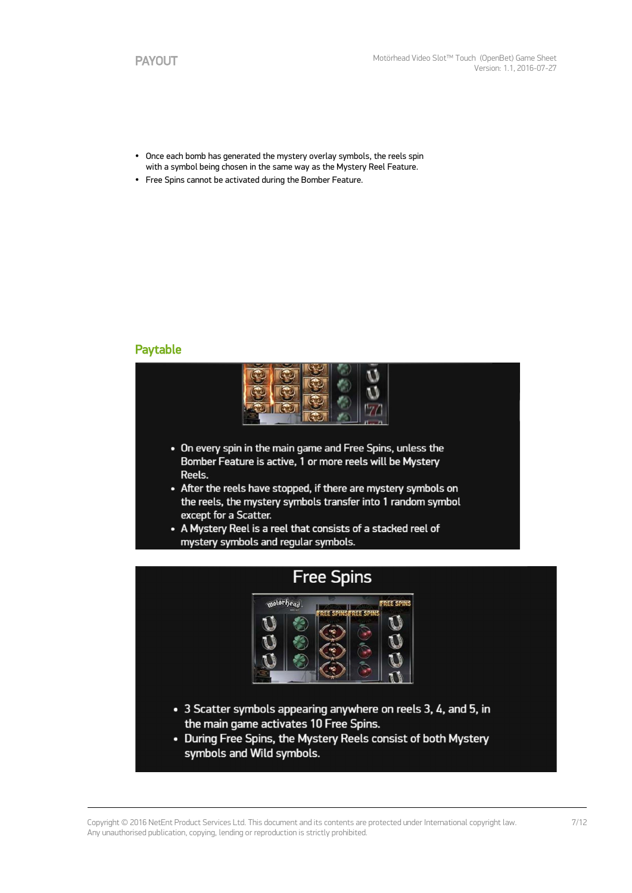- Once each bomb has generated the mystery overlay symbols, the reels spin with a symbol being chosen in the same way as the Mystery Reel Feature.
- Free Spins cannot be activated during the Bomber Feature.

### Paytable



- On every spin in the main game and Free Spins, unless the Bomber Feature is active, 1 or more reels will be Mystery Reels.
- After the reels have stopped, if there are mystery symbols on the reels, the mystery symbols transfer into 1 random symbol except for a Scatter.
- A Mystery Reel is a reel that consists of a stacked reel of mystery symbols and regular symbols.

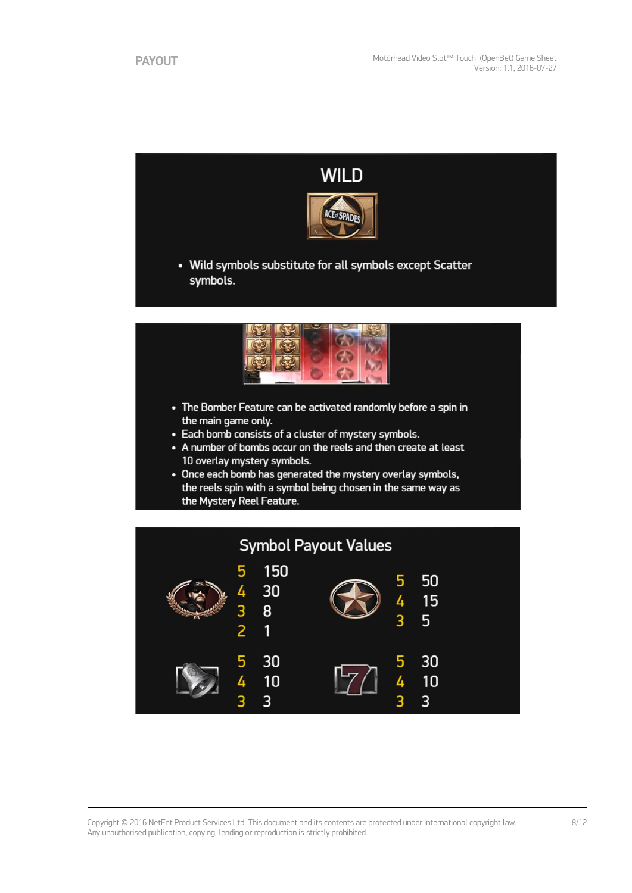

 $\overline{3}$ 

5

4

 $5<sup>5</sup>$ 

30

 $10$ 

 $\overline{3}$ 

 $\frac{3}{2}$ 

5

4

8

 $\overline{1}$ 

30

 $10$ 

3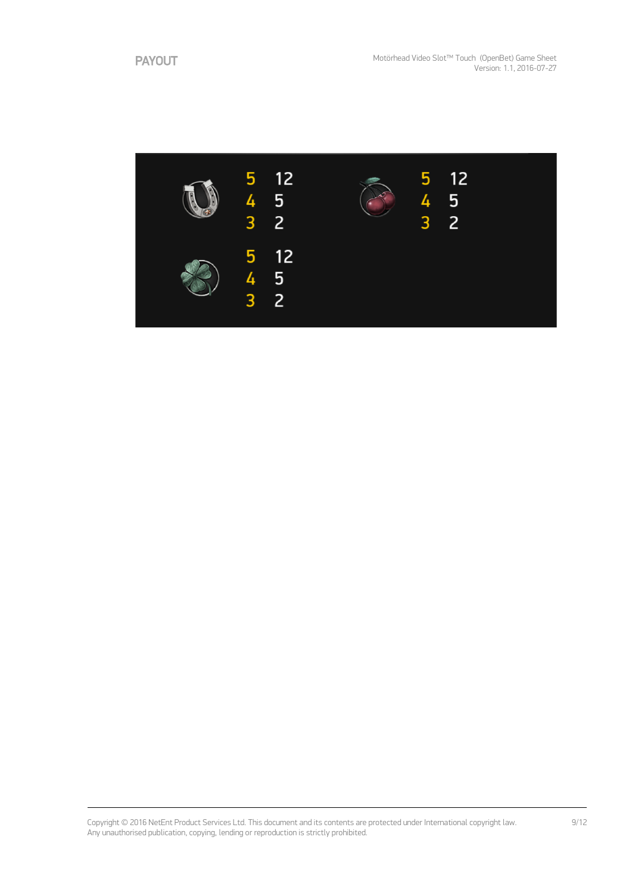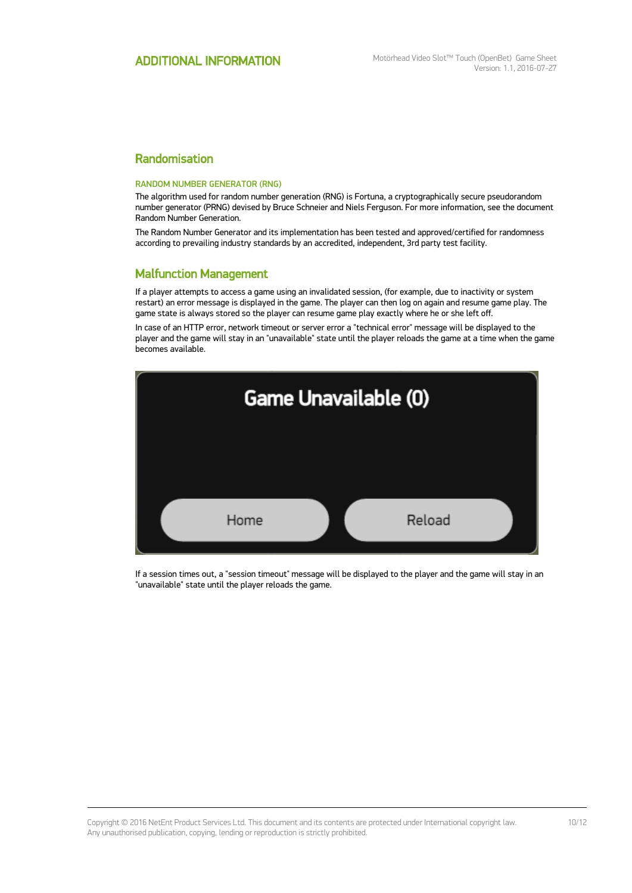### Randomisation

#### RANDOM NUMBER GENERATOR (RNG)

The algorithm used for random number generation (RNG) is Fortuna, a cryptographically secure pseudorandom number generator (PRNG) devised by Bruce Schneier and Niels Ferguson. For more information, see the document Random Number Generation.

The Random Number Generator and its implementation has been tested and approved/certified for randomness according to prevailing industry standards by an accredited, independent, 3rd party test facility.

### Malfunction Management

If a player attempts to access a game using an invalidated session, (for example, due to inactivity or system restart) an error message is displayed in the game. The player can then log on again and resume game play. The game state is always stored so the player can resume game play exactly where he or she left off.

In case of an HTTP error, network timeout or server error a "technical error" message will be displayed to the player and the game will stay in an "unavailable" state until the player reloads the game at a time when the game becomes available.



If a session times out, a "session timeout" message will be displayed to the player and the game will stay in an "unavailable" state until the player reloads the game.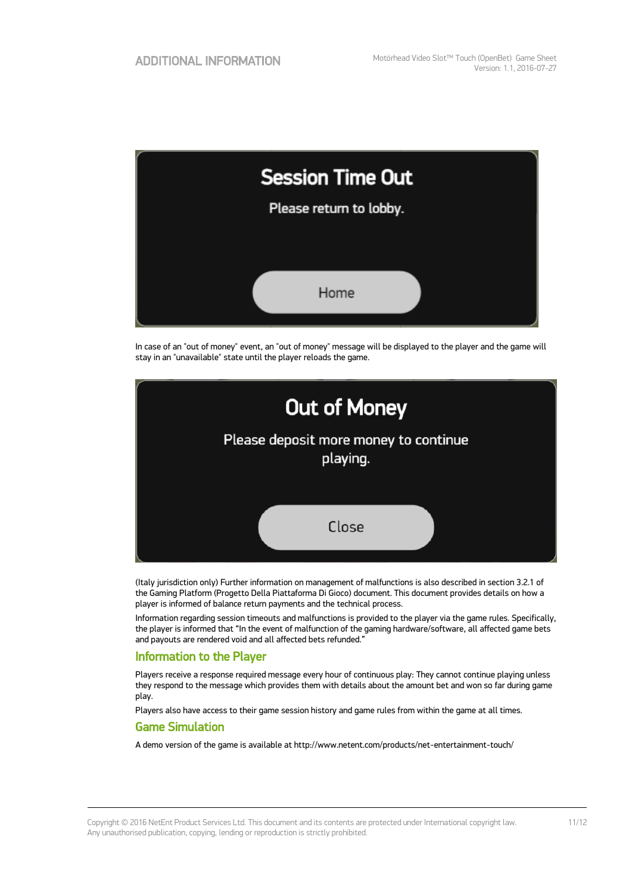| <b>Session Time Out</b> |  |  |  |  |
|-------------------------|--|--|--|--|
| Please return to lobby. |  |  |  |  |
|                         |  |  |  |  |
| Home                    |  |  |  |  |

In case of an "out of money" event, an "out of money" message will be displayed to the player and the game will stay in an "unavailable" state until the player reloads the game.



(Italy jurisdiction only) Further information on management of malfunctions is also described in section 3.2.1 of the Gaming Platform (Progetto Della Piattaforma Di Gioco) document. This document provides details on how a player is informed of balance return payments and the technical process.

Information regarding session timeouts and malfunctions is provided to the player via the game rules. Specifically, the player is informed that "In the event of malfunction of the gaming hardware/software, all affected game bets and payouts are rendered void and all affected bets refunded."

### Information to the Player

Players receive a response required message every hour of continuous play: They cannot continue playing unless they respond to the message which provides them with details about the amount bet and won so far during game play.

Players also have access to their game session history and game rules from within the game at all times.

### Game Simulation

A demo version of the game is available at http://www.netent.com/products/net-entertainment-touch/